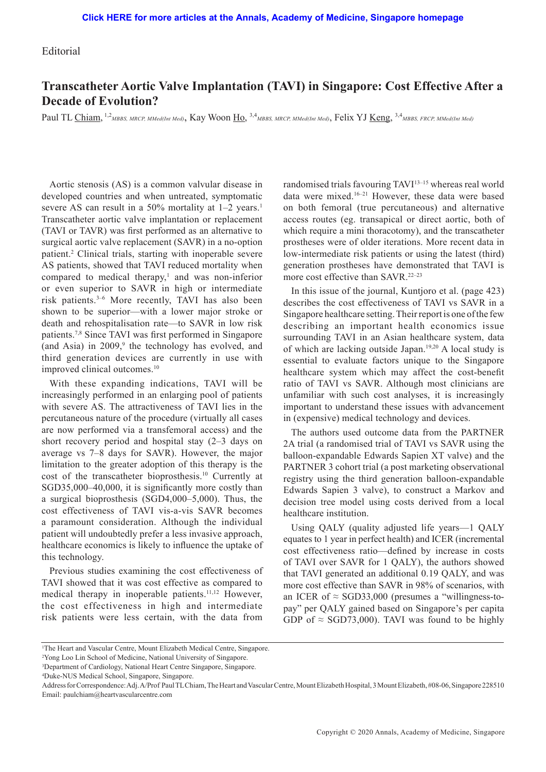## Editorial

## **Transcatheter Aortic Valve Implantation (TAVI) in Singapore: Cost Effective After a Decade of Evolution?**

Paul TL Chiam, <sup>1,2</sup>MBBS, MRCP, MMed(Int Med), Kay Woon Ho, <sup>3,4</sup>MBBS, MRCP, MMed(Int Med), Felix YJ <u>Keng, 3,4</u>MBBS, FRCP, MMed(Int Med)

Aortic stenosis (AS) is a common valvular disease in developed countries and when untreated, symptomatic severe AS can result in a  $50\%$  mortality at  $1-2$  years.<sup>1</sup> Transcatheter aortic valve implantation or replacement (TAVI or TAVR) was first performed as an alternative to surgical aortic valve replacement (SAVR) in a no-option patient.2 Clinical trials, starting with inoperable severe AS patients, showed that TAVI reduced mortality when compared to medical therapy, $\frac{1}{2}$  and was non-inferior or even superior to SAVR in high or intermediate risk patients.3–6 More recently, TAVI has also been shown to be superior—with a lower major stroke or death and rehospitalisation rate—to SAVR in low risk patients.7,8 Since TAVI was first performed in Singapore (and Asia) in  $2009$ , the technology has evolved, and third generation devices are currently in use with improved clinical outcomes.<sup>10</sup>

With these expanding indications, TAVI will be increasingly performed in an enlarging pool of patients with severe AS. The attractiveness of TAVI lies in the percutaneous nature of the procedure (virtually all cases are now performed via a transfemoral access) and the short recovery period and hospital stay (2–3 days on average vs 7–8 days for SAVR). However, the major limitation to the greater adoption of this therapy is the cost of the transcatheter bioprosthesis.10 Currently at SGD35,000–40,000, it is significantly more costly than a surgical bioprosthesis (SGD4,000–5,000). Thus, the cost effectiveness of TAVI vis-a-vis SAVR becomes a paramount consideration. Although the individual patient will undoubtedly prefer a less invasive approach, healthcare economics is likely to influence the uptake of this technology.

Previous studies examining the cost effectiveness of TAVI showed that it was cost effective as compared to medical therapy in inoperable patients.11,12 However, the cost effectiveness in high and intermediate risk patients were less certain, with the data from

randomised trials favouring TAVI13–15 whereas real world data were mixed.16–21 However, these data were based on both femoral (true percutaneous) and alternative access routes (eg. transapical or direct aortic, both of which require a mini thoracotomy), and the transcatheter prostheses were of older iterations. More recent data in low-intermediate risk patients or using the latest (third) generation prostheses have demonstrated that TAVI is more cost effective than SAVR.<sup>22-23</sup>

In this issue of the journal, Kuntjoro et al. (page 423) describes the cost effectiveness of TAVI vs SAVR in a Singapore healthcare setting. Their report is one of the few describing an important health economics issue surrounding TAVI in an Asian healthcare system, data of which are lacking outside Japan.19,20 A local study is essential to evaluate factors unique to the Singapore healthcare system which may affect the cost-benefit ratio of TAVI vs SAVR. Although most clinicians are unfamiliar with such cost analyses, it is increasingly important to understand these issues with advancement in (expensive) medical technology and devices.

The authors used outcome data from the PARTNER 2A trial (a randomised trial of TAVI vs SAVR using the balloon-expandable Edwards Sapien XT valve) and the PARTNER 3 cohort trial (a post marketing observational registry using the third generation balloon-expandable Edwards Sapien 3 valve), to construct a Markov and decision tree model using costs derived from a local healthcare institution.

Using QALY (quality adjusted life years—1 QALY equates to 1 year in perfect health) and ICER (incremental cost effectiveness ratio—defined by increase in costs of TAVI over SAVR for 1 QALY), the authors showed that TAVI generated an additional 0.19 QALY, and was more cost effective than SAVR in 98% of scenarios, with an ICER of  $\approx$  SGD33,000 (presumes a "willingness-topay" per QALY gained based on Singapore's per capita GDP of  $\approx$  SGD73,000). TAVI was found to be highly

<sup>&</sup>lt;sup>1</sup>The Heart and Vascular Centre, Mount Elizabeth Medical Centre, Singapore.

<sup>2</sup> Yong Loo Lin School of Medicine, National University of Singapore.

<sup>3</sup> Department of Cardiology, National Heart Centre Singapore, Singapore.

<sup>4</sup> Duke-NUS Medical School, Singapore, Singapore.

Address for Correspondence: Adj. A/Prof Paul TL Chiam, The Heart and Vascular Centre, Mount Elizabeth Hospital, 3 Mount Elizabeth, #08-06, Singapore 228510 Email: paulchiam@heartvascularcentre.com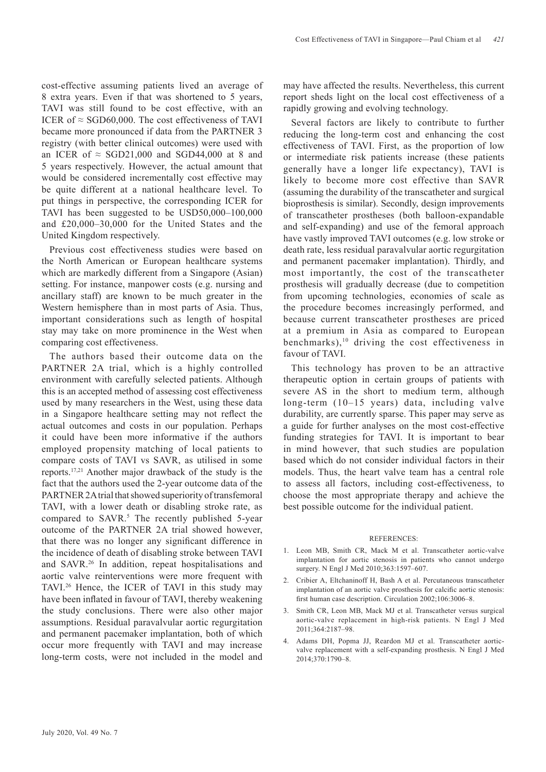cost-effective assuming patients lived an average of 8 extra years. Even if that was shortened to 5 years, TAVI was still found to be cost effective, with an ICER of  $\approx$  SGD60,000. The cost effectiveness of TAVI became more pronounced if data from the PARTNER 3 registry (with better clinical outcomes) were used with an ICER of  $\approx$  SGD21,000 and SGD44,000 at 8 and 5 years respectively. However, the actual amount that would be considered incrementally cost effective may be quite different at a national healthcare level. To put things in perspective, the corresponding ICER for TAVI has been suggested to be USD50,000–100,000 and £20,000–30,000 for the United States and the United Kingdom respectively.

Previous cost effectiveness studies were based on the North American or European healthcare systems which are markedly different from a Singapore (Asian) setting. For instance, manpower costs (e.g. nursing and ancillary staff) are known to be much greater in the Western hemisphere than in most parts of Asia. Thus, important considerations such as length of hospital stay may take on more prominence in the West when comparing cost effectiveness.

The authors based their outcome data on the PARTNER 2A trial, which is a highly controlled environment with carefully selected patients. Although this is an accepted method of assessing cost effectiveness used by many researchers in the West, using these data in a Singapore healthcare setting may not reflect the actual outcomes and costs in our population. Perhaps it could have been more informative if the authors employed propensity matching of local patients to compare costs of TAVI vs SAVR, as utilised in some reports.17,21 Another major drawback of the study is the fact that the authors used the 2-year outcome data of the PARTNER 2A trial that showed superiority of transfemoral TAVI, with a lower death or disabling stroke rate, as compared to SAVR.<sup>5</sup> The recently published 5-year outcome of the PARTNER 2A trial showed however, that there was no longer any significant difference in the incidence of death of disabling stroke between TAVI and SAVR.26 In addition, repeat hospitalisations and aortic valve reinterventions were more frequent with TAVI.26 Hence, the ICER of TAVI in this study may have been inflated in favour of TAVI, thereby weakening the study conclusions. There were also other major assumptions. Residual paravalvular aortic regurgitation and permanent pacemaker implantation, both of which occur more frequently with TAVI and may increase long-term costs, were not included in the model and may have affected the results. Nevertheless, this current report sheds light on the local cost effectiveness of a rapidly growing and evolving technology.

Several factors are likely to contribute to further reducing the long-term cost and enhancing the cost effectiveness of TAVI. First, as the proportion of low or intermediate risk patients increase (these patients generally have a longer life expectancy), TAVI is likely to become more cost effective than SAVR (assuming the durability of the transcatheter and surgical bioprosthesis is similar). Secondly, design improvements of transcatheter prostheses (both balloon-expandable and self-expanding) and use of the femoral approach have vastly improved TAVI outcomes (e.g. low stroke or death rate, less residual paravalvular aortic regurgitation and permanent pacemaker implantation). Thirdly, and most importantly, the cost of the transcatheter prosthesis will gradually decrease (due to competition from upcoming technologies, economies of scale as the procedure becomes increasingly performed, and because current transcatheter prostheses are priced at a premium in Asia as compared to European benchmarks), $10$  driving the cost effectiveness in favour of TAVI.

This technology has proven to be an attractive therapeutic option in certain groups of patients with severe AS in the short to medium term, although long-term (10–15 years) data, including valve durability, are currently sparse. This paper may serve as a guide for further analyses on the most cost-effective funding strategies for TAVI. It is important to bear in mind however, that such studies are population based which do not consider individual factors in their models. Thus, the heart valve team has a central role to assess all factors, including cost-effectiveness, to choose the most appropriate therapy and achieve the best possible outcome for the individual patient.

## REFERENCES:

- 1. Leon MB, Smith CR, Mack M et al. Transcatheter aortic-valve implantation for aortic stenosis in patients who cannot undergo surgery. N Engl J Med 2010;363:1597–607.
- 2. Cribier A, Eltchaninoff H, Bash A et al. Percutaneous transcatheter implantation of an aortic valve prosthesis for calcific aortic stenosis: first human case description. Circulation 2002;106:3006–8.
- 3. Smith CR, Leon MB, Mack MJ et al. Transcatheter versus surgical aortic-valve replacement in high-risk patients. N Engl J Med 2011;364:2187–98.
- 4. Adams DH, Popma JJ, Reardon MJ et al. Transcatheter aorticvalve replacement with a self-expanding prosthesis. N Engl J Med 2014;370:1790–8.